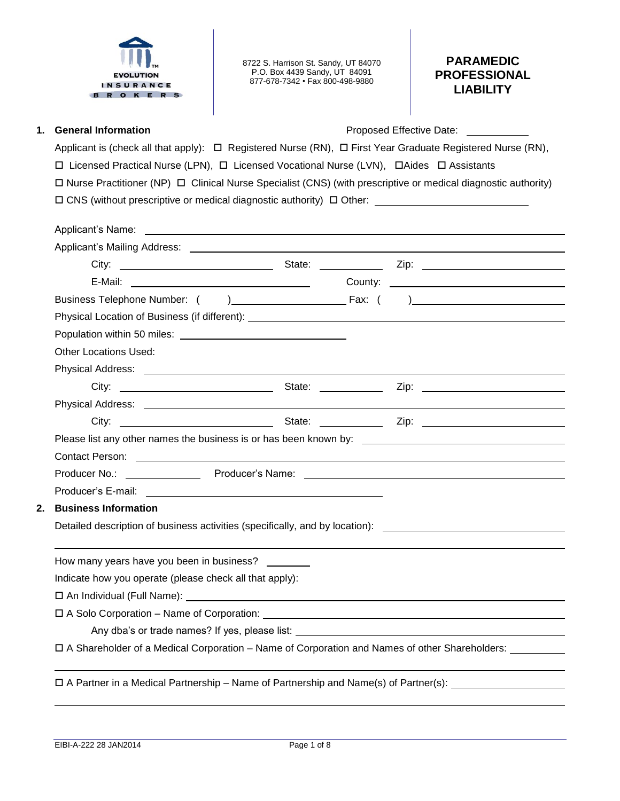

8722 S. Harrison St. Sandy, UT 84070 P.O. Box 4439 Sandy, UT 84091 877-678-7342 • Fax 800-498-9880

# **PARAMEDIC PROFESSIONAL LIABILITY**

**1. General Information Community Community Community Community Proposed Effective Date:** 

Applicant is (check all that apply):  $\Box$  Registered Nurse (RN),  $\Box$  First Year Graduate Registered Nurse (RN),  $\Box$  Licensed Practical Nurse (LPN),  $\Box$  Licensed Vocational Nurse (LVN),  $\Box$  Aides  $\Box$  Assistants  $\Box$  Nurse Practitioner (NP)  $\Box$  Clinical Nurse Specialist (CNS) (with prescriptive or medical diagnostic authority)  $\square$  CNS (without prescriptive or medical diagnostic authority)  $\square$  Other:

|    | Physical Location of Business (if different): ___________________________________                    |  |  |
|----|------------------------------------------------------------------------------------------------------|--|--|
|    |                                                                                                      |  |  |
|    | <b>Other Locations Used:</b>                                                                         |  |  |
|    |                                                                                                      |  |  |
|    |                                                                                                      |  |  |
|    |                                                                                                      |  |  |
|    |                                                                                                      |  |  |
|    |                                                                                                      |  |  |
|    | Contact Person: example and a series of the contract of the contract of the contract Person:         |  |  |
|    |                                                                                                      |  |  |
|    |                                                                                                      |  |  |
| 2. | <b>Business Information</b>                                                                          |  |  |
|    | Detailed description of business activities (specifically, and by location): _______________________ |  |  |
|    |                                                                                                      |  |  |
|    | How many years have you been in business?                                                            |  |  |
|    | Indicate how you operate (please check all that apply):                                              |  |  |
|    |                                                                                                      |  |  |
|    | $\Box A Solve Corporation - Name of Corporation:$                                                    |  |  |
|    |                                                                                                      |  |  |
|    | □ A Shareholder of a Medical Corporation – Name of Corporation and Names of other Shareholders:      |  |  |

 $\Box$  A Partner in a Medical Partnership – Name of Partnership and Name(s) of Partner(s):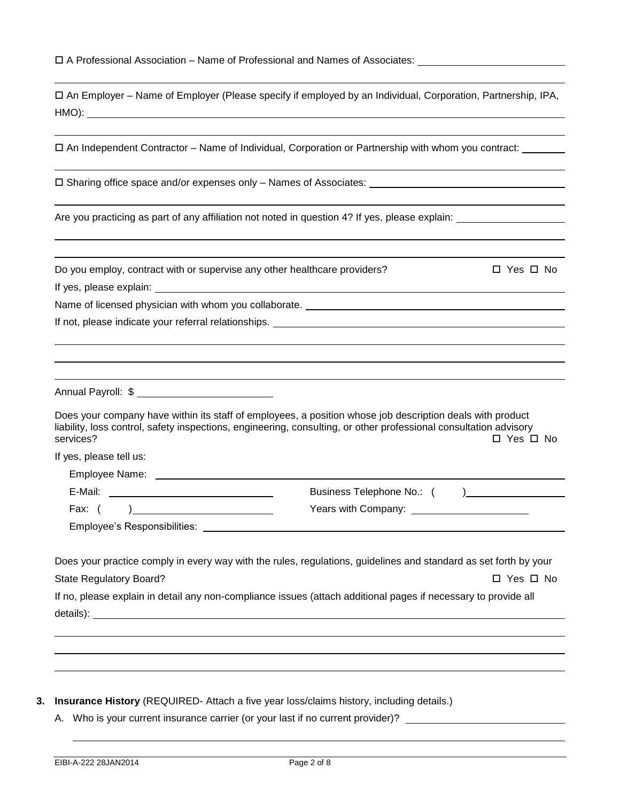| $\Box$ A Professional Association – Name of Professional and Names of Associates: |  |
|-----------------------------------------------------------------------------------|--|
|-----------------------------------------------------------------------------------|--|

|       | □ An Employer – Name of Employer (Please specify if employed by an Individual, Corporation, Partnership, IPA, |  |  |
|-------|---------------------------------------------------------------------------------------------------------------|--|--|
| HMO): |                                                                                                               |  |  |

An Independent Contractor – Name of Individual, Corporation or Partnership with whom you contract:

□ Sharing office space and/or expenses only – Names of Associates: □

Are you practicing as part of any affiliation not noted in question 4? If yes, please explain:

Do you employ, contract with or supervise any other healthcare providers?  $\square$  Yes  $\square$  No

If yes, please explain:

Name of licensed physician with whom you collaborate.

If not, please indicate your referral relationships.

Annual Payroll: \$

Does your company have within its staff of employees, a position whose job description deals with product liability, loss control, safety inspections, engineering, consulting, or other professional consultation advisory services?  $\Box$  Yes  $\Box$  No

If yes, please tell us:

Employee Name: E-Mail: Business Telephone No.: ( )

Fax: ( ) The Company: The Press with Company:

Employee's Responsibilities:

Does your practice comply in every way with the rules, regulations, guidelines and standard as set forth by your State Regulatory Board? 
State Regulatory Board? If no, please explain in detail any non-compliance issues (attach additional pages if necessary to provide all

details): which is a set of the set of the set of the set of the set of the set of the set of the set of the set of the set of the set of the set of the set of the set of the set of the set of the set of the set of the set

- **3. Insurance History** (REQUIRED- Attach a five year loss/claims history, including details.)
	- A. Who is your current insurance carrier (or your last if no current provider)?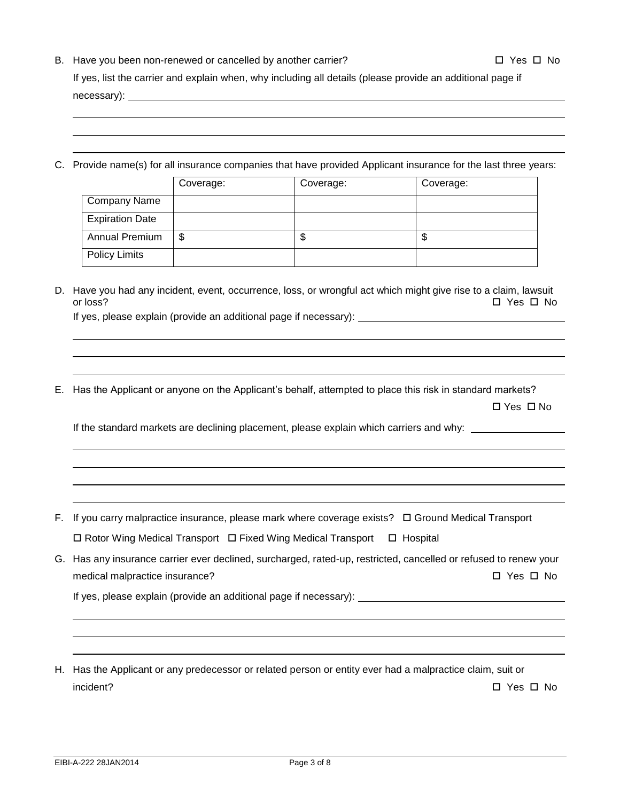- B. Have you been non-renewed or cancelled by another carrier?  $\square$  Yes  $\square$  No If yes, list the carrier and explain when, why including all details (please provide an additional page if necessary): example and the set of the set of the set of the set of the set of the set of the set of the set of the set of the set of the set of the set of the set of the set of the set of the set of the set of the set of
- C. Provide name(s) for all insurance companies that have provided Applicant insurance for the last three years:

|                        | Coverage: | Coverage: | Coverage: |
|------------------------|-----------|-----------|-----------|
| <b>Company Name</b>    |           |           |           |
| <b>Expiration Date</b> |           |           |           |
| Annual Premium         | \$        | ง         | \$        |
| Policy Limits          |           |           |           |

D. Have you had any incident, event, occurrence, loss, or wrongful act which might give rise to a claim, lawsuit or loss? Yes No

If yes, please explain (provide an additional page if necessary):

E. Has the Applicant or anyone on the Applicant's behalf, attempted to place this risk in standard markets?

□ Yes □ No

If the standard markets are declining placement, please explain which carriers and why: \_\_

- F. If you carry malpractice insurance, please mark where coverage exists?  $\Box$  Ground Medical Transport  $\Box$  Rotor Wing Medical Transport  $\Box$  Fixed Wing Medical Transport  $\Box$  Hospital
- G. Has any insurance carrier ever declined, surcharged, rated-up, restricted, cancelled or refused to renew your medical malpractice insurance? 
<br>
The South of the South of the South of the South of the South of the South of the South of the South of the South of the South of the South of the South of the South of the South of the So

If yes, please explain (provide an additional page if necessary):

H. Has the Applicant or any predecessor or related person or entity ever had a malpractice claim, suit or incident?  $\Box$  Yes  $\Box$  No.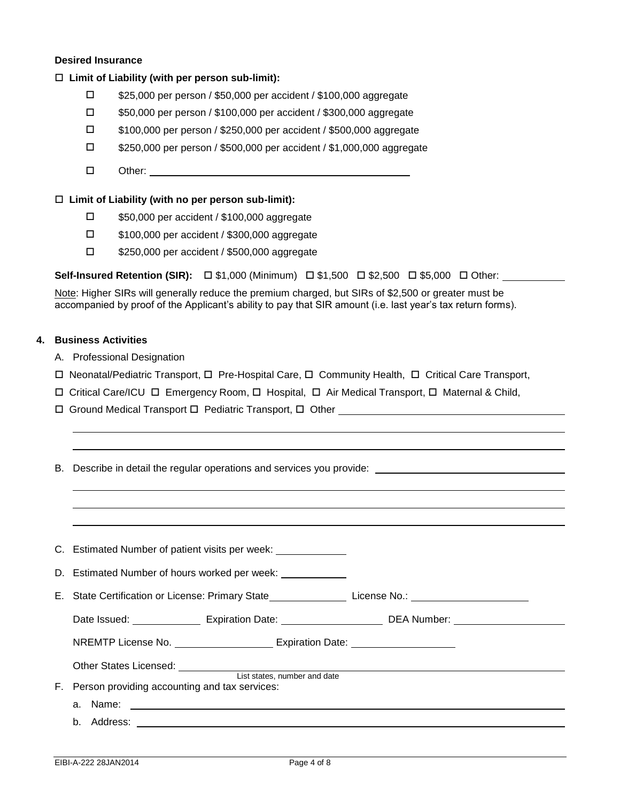### **Desired Insurance**

## **Limit of Liability (with per person sub-limit):**

- \$25,000 per person / \$50,000 per accident / \$100,000 aggregate
- \$50,000 per person / \$100,000 per accident / \$300,000 aggregate
- \$100,000 per person / \$250,000 per accident / \$500,000 aggregate
- \$250,000 per person / \$500,000 per accident / \$1,000,000 aggregate
- Other:

## **Limit of Liability (with no per person sub-limit):**

- \$50,000 per accident / \$100,000 aggregate
- \$100,000 per accident / \$300,000 aggregate
- □ \$250,000 per accident / \$500,000 aggregate

**Self-Insured Retention (SIR):** □ \$1,000 (Minimum) □ \$1,500 □ \$2,500 □ \$5,000 □ Other:

Note: Higher SIRs will generally reduce the premium charged, but SIRs of \$2,500 or greater must be accompanied by proof of the Applicant's ability to pay that SIR amount (i.e. last year's tax return forms).

# **4. Business Activities**

- A. Professional Designation
- $\Box$  Neonatal/Pediatric Transport,  $\Box$  Pre-Hospital Care,  $\Box$  Community Health,  $\Box$  Critical Care Transport,
- $\Box$  Critical Care/ICU  $\Box$  Emergency Room,  $\Box$  Hospital,  $\Box$  Air Medical Transport,  $\Box$  Maternal & Child,
- □ Ground Medical Transport □ Pediatric Transport, □ Other ■

|    | B. Describe in detail the regular operations and services you provide: _____________________________           |  |
|----|----------------------------------------------------------------------------------------------------------------|--|
|    |                                                                                                                |  |
|    |                                                                                                                |  |
|    |                                                                                                                |  |
|    | C. Estimated Number of patient visits per week: ______________                                                 |  |
|    | D. Estimated Number of hours worked per week: _____________                                                    |  |
|    | E. State Certification or License: Primary State___________________License No.: __________________________     |  |
|    | Date Issued: ____________________ Expiration Date: ______________________________ DEA Number: ________________ |  |
|    | NREMTP License No. __________________________ Expiration Date: _________________                               |  |
|    |                                                                                                                |  |
| F. | Person providing accounting and tax services:                                                                  |  |
|    |                                                                                                                |  |
|    |                                                                                                                |  |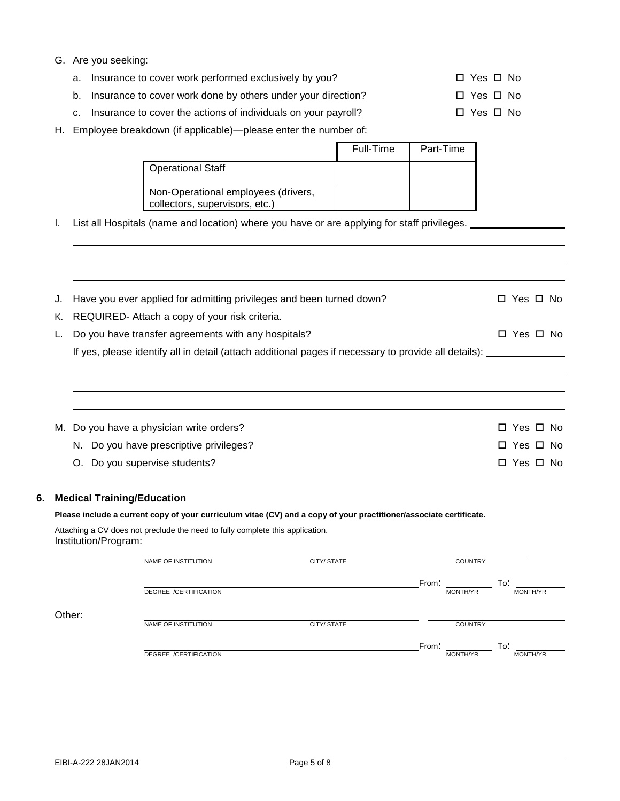## G. Are you seeking:

- a. Insurance to cover work performed exclusively by you?  $\square$  Yes  $\square$  No
- b. Insurance to cover work done by others under your direction?  $\square$  Yes  $\square$  No
- c. Insurance to cover the actions of individuals on your payroll?  $\square$  Yes  $\square$  No
- H. Employee breakdown (if applicable)—please enter the number of:

|                                                                       | Full-Time | Part-Time |
|-----------------------------------------------------------------------|-----------|-----------|
| Operational Staff                                                     |           |           |
| Non-Operational employees (drivers,<br>collectors, supervisors, etc.) |           |           |

I. List all Hospitals (name and location) where you have or are applying for staff privileges.

| J. | Have you ever applied for admitting privileges and been turned down?                                     | □ Yes □ No           |  |
|----|----------------------------------------------------------------------------------------------------------|----------------------|--|
| Κ. | REQUIRED- Attach a copy of your risk criteria.                                                           |                      |  |
|    | Do you have transfer agreements with any hospitals?                                                      | □ Yes □ No           |  |
|    | If yes, please identify all in detail (attach additional pages if necessary to provide all details): ___ |                      |  |
|    |                                                                                                          |                      |  |
|    |                                                                                                          |                      |  |
|    |                                                                                                          |                      |  |
|    | M. Do you have a physician write orders?                                                                 | $\Box$ Yes $\Box$ No |  |
|    | N. Do you have prescriptive privileges?                                                                  | □ Yes □ No           |  |
|    | O. Do you supervise students?                                                                            | □ Yes □ No           |  |

### **6. Medical Training/Education**

#### **Please include a current copy of your curriculum vitae (CV) and a copy of your practitioner/associate certificate.**

Attaching a CV does not preclude the need to fully complete this application. Institution/Program:

|        | NAME OF INSTITUTION   | CITY/ STATE | <b>COUNTRY</b>                       |  |
|--------|-----------------------|-------------|--------------------------------------|--|
|        | DEGREE /CERTIFICATION |             | From:<br>To:<br>MONTH/YR<br>MONTH/YR |  |
| Other: | NAME OF INSTITUTION   | CITY/ STATE | <b>COUNTRY</b>                       |  |
|        | DEGREE /CERTIFICATION |             | From:<br>To:<br>MONTH/YR<br>MONTH/YR |  |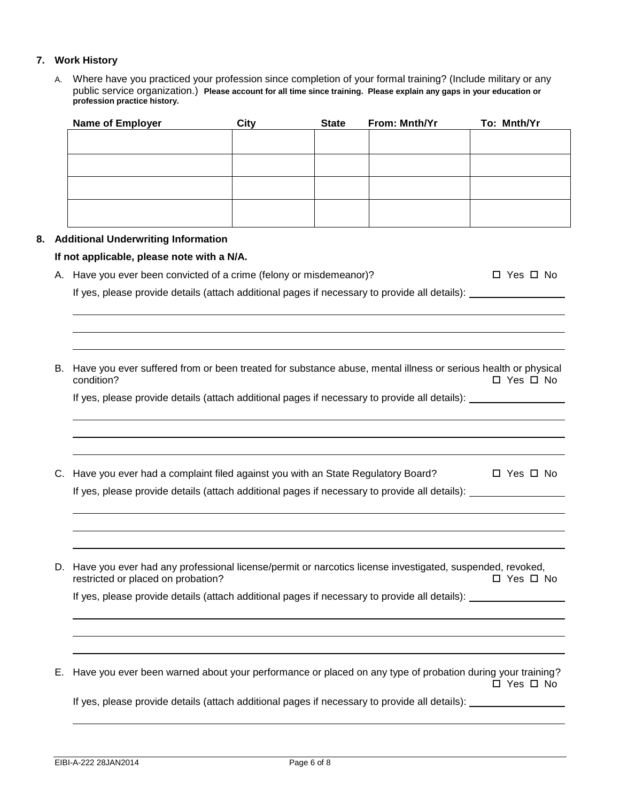## **7. Work History**

A. Where have you practiced your profession since completion of your formal training? (Include military or any public service organization.) **Please account for all time since training. Please explain any gaps in your education or profession practice history.** 

| <b>Name of Employer</b> | <b>City</b> | <b>State</b> | From: Mnth/Yr | To: Mnth/Yr |
|-------------------------|-------------|--------------|---------------|-------------|
|                         |             |              |               |             |
|                         |             |              |               |             |
|                         |             |              |               |             |
|                         |             |              |               |             |
|                         |             |              |               |             |
|                         |             |              |               |             |
|                         |             |              |               |             |
|                         |             |              |               |             |
|                         |             |              |               |             |

### **8. Additional Underwriting Information**

#### **If not applicable, please note with a N/A.**

A. Have you ever been convicted of a crime (felony or misdemeanor)?  $\square$  Yes  $\square$  No

If yes, please provide details (attach additional pages if necessary to provide all details):

B. Have you ever suffered from or been treated for substance abuse, mental illness or serious health or physical  $\Box$  Yes  $\Box$  No

If yes, please provide details (attach additional pages if necessary to provide all details):

C. Have you ever had a complaint filed against you with an State Regulatory Board?  $\Box$  Yes  $\Box$  No If yes, please provide details (attach additional pages if necessary to provide all details): \_\_\_\_\_\_\_\_\_\_\_\_\_\_\_

D. Have you ever had any professional license/permit or narcotics license investigated, suspended, revoked,<br>T Yes □ No restricted or placed on probation?

If yes, please provide details (attach additional pages if necessary to provide all details):

E. Have you ever been warned about your performance or placed on any type of probation during your training? □ Yes □ No

If yes, please provide details (attach additional pages if necessary to provide all details):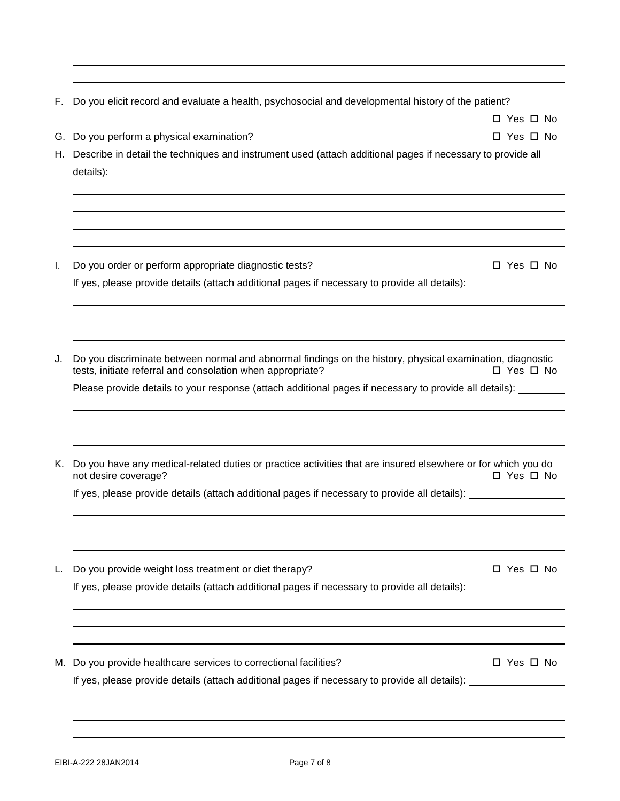| F. | Do you elicit record and evaluate a health, psychosocial and developmental history of the patient?                                   |                      |
|----|--------------------------------------------------------------------------------------------------------------------------------------|----------------------|
|    |                                                                                                                                      | $\Box$ Yes $\Box$ No |
| G. | Do you perform a physical examination?                                                                                               | □ Yes □ No           |
| Н. | Describe in detail the techniques and instrument used (attach additional pages if necessary to provide all                           |                      |
|    |                                                                                                                                      |                      |
|    |                                                                                                                                      |                      |
|    |                                                                                                                                      |                      |
| I. | Do you order or perform appropriate diagnostic tests?                                                                                | $\Box$ Yes $\Box$ No |
|    | If yes, please provide details (attach additional pages if necessary to provide all details):                                        |                      |
|    |                                                                                                                                      |                      |
|    |                                                                                                                                      |                      |
| J. | Do you discriminate between normal and abnormal findings on the history, physical examination, diagnostic                            |                      |
|    | tests, initiate referral and consolation when appropriate?                                                                           | □ Yes □ No           |
|    | Please provide details to your response (attach additional pages if necessary to provide all details):                               |                      |
|    |                                                                                                                                      |                      |
|    |                                                                                                                                      |                      |
| Κ. | Do you have any medical-related duties or practice activities that are insured elsewhere or for which you do<br>not desire coverage? | □ Yes □ No           |
|    | If yes, please provide details (attach additional pages if necessary to provide all details):                                        |                      |
|    |                                                                                                                                      |                      |
|    | Do you provide weight loss treatment or diet therapy?                                                                                | □ Yes □ No           |
| L. | If yes, please provide details (attach additional pages if necessary to provide all details):                                        |                      |
|    |                                                                                                                                      |                      |
|    |                                                                                                                                      |                      |
| M. | Do you provide healthcare services to correctional facilities?                                                                       | □ Yes □ No           |
|    | If yes, please provide details (attach additional pages if necessary to provide all details):                                        |                      |
|    |                                                                                                                                      |                      |
|    |                                                                                                                                      |                      |
|    |                                                                                                                                      |                      |